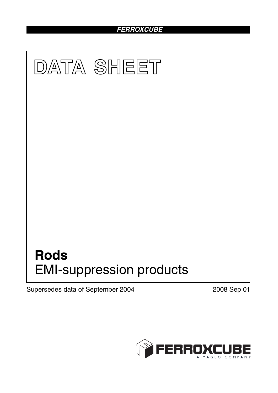## *FERROXCUBE*



Supersedes data of September 2004 2008 Sep 01

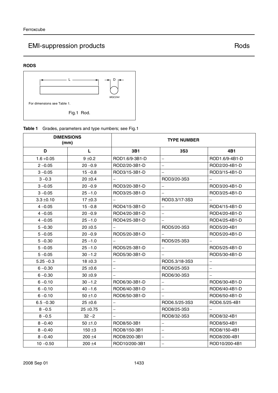# EMI-suppression products and a set of the state of the Rods Rods

#### **RODS**



### **Table 1** Grades, parameters and type numbers; see Fig.1

| <b>DIMENSIONS</b><br>(mm) |              | <b>TYPE NUMBER</b>       |                          |                          |
|---------------------------|--------------|--------------------------|--------------------------|--------------------------|
| D                         | Г            | 3B1                      | <b>3S3</b>               | 4B1                      |
| $1.6 + 0.05$              | $9 \pm 0.2$  | ROD1.6/9-3B1-D           | $\overline{\phantom{0}}$ | ROD1.6/9-4B1-D           |
| $2 - 0.05$                | $20 - 0.9$   | ROD2/20-3B1-D            | $\qquad \qquad -$        | ROD2/20-4B1-D            |
| $3 - 0.05$                | $15 - 0.8$   | ROD3/15-3B1-D            |                          | ROD3/15-4B1-D            |
| $3 - 0.3$                 | $20 \pm 0.4$ |                          | ROD3/20-3S3              |                          |
| $3 - 0.05$                | $20 - 0.9$   | ROD3/20-3B1-D            | $\qquad \qquad -$        | ROD3/20-4B1-D            |
| $3 - 0.05$                | $25 - 1.0$   | ROD3/25-3B1-D            |                          | ROD3/25-4B1-D            |
| $3.3 \pm 0.10$            | $17 \pm 0.3$ |                          | ROD3.3/17-3S3            |                          |
| $4 - 0.05$                | $15 - 0.8$   | ROD4/15-3B1-D            | $\overline{\phantom{0}}$ | ROD4/15-4B1-D            |
| $4 - 0.05$                | 20 -0.9      | ROD4/20-3B1-D            | $\overline{\phantom{0}}$ | ROD4/20-4B1-D            |
| $4 - 0.05$                | $25 - 1.0$   | ROD4/25-3B1-D            |                          | ROD4/25-4B1-D            |
| $5 - 0.30$                | $20 \pm 0.5$ |                          | ROD5/20-3S3              | ROD5/20-4B1              |
| $5 - 0.05$                | $20 - 0.9$   | ROD5/20-3B1-D            |                          | ROD5/20-4B1-D            |
| $5 - 0.30$                | $25 - 1.0$   |                          | ROD5/25-3S3              |                          |
| $5 - 0.05$                | $25 - 1.0$   | ROD5/25-3B1-D            |                          | ROD5/25-4B1-D            |
| $5 - 0.05$                | $30 - 1.2$   | ROD5/30-3B1-D            |                          | ROD5/30-4B1-D            |
| $5.25 - 0.3$              | $18 \pm 0.3$ | $\overline{\phantom{0}}$ | ROD5.3/18-3S3            | $\overline{\phantom{m}}$ |
| $6 - 0.30$                | $25 \pm 0.6$ | $\overline{\phantom{0}}$ | ROD6/25-3S3              | $\overline{\phantom{0}}$ |
| $6 - 0.30$                | $30 + 0.9$   |                          | ROD6/30-3S3              |                          |
| $6 - 0.10$                | $30 - 1.2$   | ROD6/30-3B1-D            |                          | ROD6/30-4B1-D            |
| $6 - 0.10$                | $40 - 1.6$   | ROD6/40-3B1-D            | $\overline{\phantom{0}}$ | ROD6/40-4B1-D            |
| $6 - 0.10$                | $50 + 1.0$   | ROD6/50-3B1-D            | $\overline{\phantom{0}}$ | ROD6/50-4B1-D            |
| $6.5 - 0.30$              | $25 \pm 0.6$ | $\overline{\phantom{0}}$ | ROD6.5/25-3S3            | ROD6.5/25-4B1            |
| $8 - 0.5$                 | $25 + 0.75$  |                          | ROD8/25-3S3              |                          |
| $8 - 0.5$                 | $32 - 2$     |                          | ROD8/32-3S3              | ROD8/32-4B1              |
| $8 - 0.40$                | $50 + 1.0$   | ROD8/50-3B1              | $\qquad \qquad -$        | ROD8/50-4B1              |
| $8 - 0.40$                | 150 $\pm$ 3  | ROD8/150-3B1             | $\overline{\phantom{0}}$ | ROD8/150-4B1             |
| $8 - 0.40$                | $200 + 4$    | ROD8/200-3B1             | $\overline{\phantom{0}}$ | ROD8/200-4B1             |
| $10 - 0.50$               | $200 \pm 4$  | ROD10/200-3B1            | $\equiv$                 | ROD10/200-4B1            |